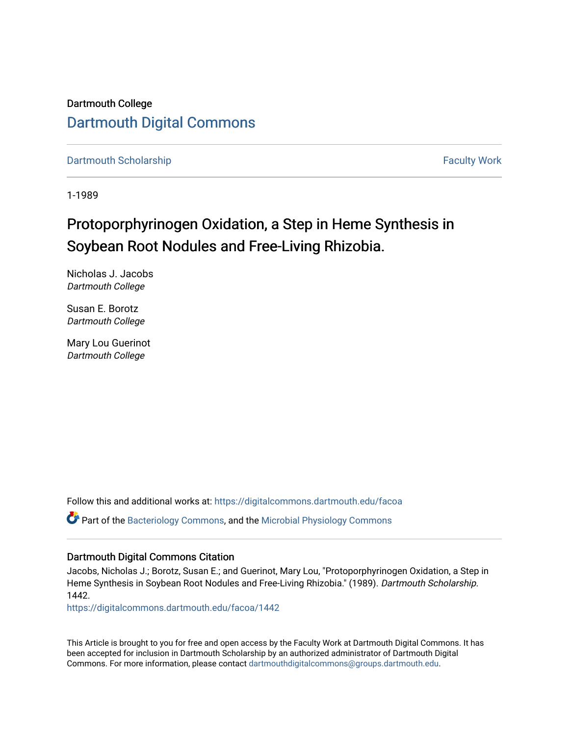## Dartmouth College [Dartmouth Digital Commons](https://digitalcommons.dartmouth.edu/)

[Dartmouth Scholarship](https://digitalcommons.dartmouth.edu/facoa) Faculty Work

1-1989

# Protoporphyrinogen Oxidation, a Step in Heme Synthesis in Soybean Root Nodules and Free-Living Rhizobia.

Nicholas J. Jacobs Dartmouth College

Susan E. Borotz Dartmouth College

Mary Lou Guerinot Dartmouth College

Follow this and additional works at: [https://digitalcommons.dartmouth.edu/facoa](https://digitalcommons.dartmouth.edu/facoa?utm_source=digitalcommons.dartmouth.edu%2Ffacoa%2F1442&utm_medium=PDF&utm_campaign=PDFCoverPages)

Part of the [Bacteriology Commons](http://network.bepress.com/hgg/discipline/49?utm_source=digitalcommons.dartmouth.edu%2Ffacoa%2F1442&utm_medium=PDF&utm_campaign=PDFCoverPages), and the [Microbial Physiology Commons](http://network.bepress.com/hgg/discipline/51?utm_source=digitalcommons.dartmouth.edu%2Ffacoa%2F1442&utm_medium=PDF&utm_campaign=PDFCoverPages) 

### Dartmouth Digital Commons Citation

Jacobs, Nicholas J.; Borotz, Susan E.; and Guerinot, Mary Lou, "Protoporphyrinogen Oxidation, a Step in Heme Synthesis in Soybean Root Nodules and Free-Living Rhizobia." (1989). Dartmouth Scholarship. 1442.

[https://digitalcommons.dartmouth.edu/facoa/1442](https://digitalcommons.dartmouth.edu/facoa/1442?utm_source=digitalcommons.dartmouth.edu%2Ffacoa%2F1442&utm_medium=PDF&utm_campaign=PDFCoverPages) 

This Article is brought to you for free and open access by the Faculty Work at Dartmouth Digital Commons. It has been accepted for inclusion in Dartmouth Scholarship by an authorized administrator of Dartmouth Digital Commons. For more information, please contact [dartmouthdigitalcommons@groups.dartmouth.edu](mailto:dartmouthdigitalcommons@groups.dartmouth.edu).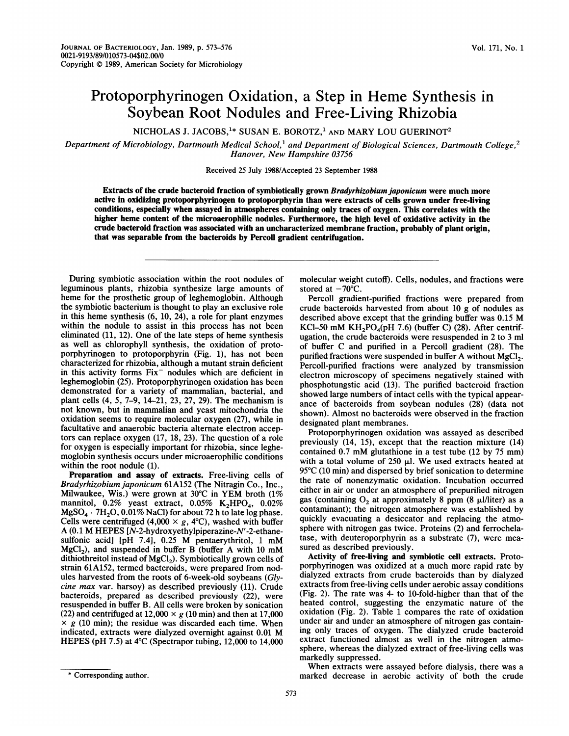## Protoporphyrinogen Oxidation, a Step in Heme Synthesis in Soybean Root Nodules and Free-Living Rhizobia

NICHOLAS J. JACOBS,<sup>1\*</sup> SUSAN E. BOROTZ,<sup>1</sup> AND MARY LOU GUERINOT<sup>2</sup>

Department of Microbiology, Dartmouth Medical School,<sup>1</sup> and Department of Biological Sciences, Dartmouth College,<sup>2</sup> Hanover, New Hampshire 03756

Received 25 July 1988/Accepted 23 September 1988

Extracts of the crude bacteroid fraction of symbiotically grown Bradyrhizobium japonicum were much more active in oxidizing protoporphyrinogen to protoporphyrin than were extracts of cells grown under free-living conditions, especially when assayed in atmospheres containing only traces of oxygen. This correlates with the higher heme content of the microaerophlic nodules. Furthermore, the high level of oxidative activity in the crude bacteroid fraction was associated with an uncharacterized membrane fraction, probably of plant origin, that was separable from the bacteroids by Percoll gradient centrifugation.

During symbiotic association within the root nodules of leguminous plants, rhizobia synthesize large amounts of heme for the prosthetic group of leghemoglobin. Although the symbiotic bacterium is thought to play an exclusive role in this heme synthesis (6, 10, 24), a role for plant enzymes within the nodule to assist in this process has not been eliminated (11, 12). One of the late steps of heme synthesis as well as chlorophyll synthesis, the oxidation of protoporphyrinogen to protoporphyrin (Fig. 1), has not been characterized for rhizobia, although a mutant strain deficient in this activity forms  $Fix^-$  nodules which are deficient in leghemoglobin (25). Protoporphyrinogen oxidation has been demonstrated for a variety of mammalian, bacterial, and plant cells (4, 5, 7-9, 14-21, 23, 27, 29). The mechanism is not known, but in mammalian and yeast mitochondria the oxidation seems to require molecular oxygen (27), while in facultative and anaerobic bacteria alternate electron acceptors can replace oxygen (17, 18, 23). The question of a role for oxygen is especially important for rhizobia, since leghemoglobin synthesis occurs under microaerophilic conditions within the root nodule (1).

Preparation and assay of extracts. Free-living cells of Bradyrhizobium japonicum 61A152 (The Nitragin Co., Inc., Milwaukee, Wis.) were grown at 30°C in YEM broth (1% mannitol,  $0.2\%$  yeast extract,  $0.05\%$  K<sub>2</sub>HPO<sub>4</sub>,  $0.02\%$  $MgSO<sub>4</sub> \cdot 7H<sub>2</sub>O$ , 0.01% NaCl) for about 72 h to late log phase. Cells were centrifuged (4,000  $\times$  g, 4°C), washed with buffer A (0.1 M HEPES [N-2-hydroxyethylpiperazine-N'-2-ethanesulfonic acid] [pH 7.4], 0.25 M pentaerythritol, <sup>1</sup> mM  $MgCl<sub>2</sub>$ ), and suspended in buffer B (buffer A with 10 mM dithiothreitol instead of  $MgCl<sub>2</sub>$ ). Symbiotically grown cells of strain 61A152, termed bacteroids, were prepared from nodules harvested from the roots of 6-week-old soybeans (Glycine max var. harsoy) as described previously (11). Crude bacteroids, prepared as described previously (22), were resuspended in buffer B. All cells were broken by sonication (22) and centrifuged at 12,000  $\times$  g (10 min) and then at 17,000  $\times g$  (10 min); the residue was discarded each time. When indicated, extracts were dialyzed overnight against 0.01 M HEPES (pH 7.5) at 4°C (Spectrapor tubing, 12,000 to 14,000 molecular weight cutoff). Cells, nodules, and fractions were stored at  $-70^{\circ}$ C.

Percoll gradient-purified fractions were prepared from crude bacteroids harvested from about 10 g of nodules as described above except that the grinding buffer was 0.15 M KCl-50 mM  $KH<sub>2</sub>PO<sub>4</sub>(pH 7.6)$  (buffer C) (28). After centrifugation, the crude bacteroids were resuspended in 2 to 3 ml of buffer C and purified in a Percoll gradient (28). The purified fractions were suspended in buffer A without  $MgCl<sub>2</sub>$ . Percoll-purified fractions were analyzed by transmission electron microscopy of specimens negatively stained with phosphotungstic acid (13). The purified bacteroid fraction showed large numbers of intact cells with the typical appearance of bacteroids from soybean nodules (28) (data not shown). Almost no bacteroids were observed in the fraction designated plant membranes.

Protoporphyrinogen oxidation was assayed as described previously (14, 15), except that the reaction mixture (14) contained 0.7 mM glutathione in <sup>a</sup> test tube (12 by <sup>75</sup> mm) with a total volume of  $250 \mu l$ . We used extracts heated at 95°C (10 min) and dispersed by brief sonication to determine the rate of nonenzymatic oxidation. Incubation occurred either in air or under an atmosphere of prepurified nitrogen gas (containing  $O_2$  at approximately 8 ppm (8  $\mu$ l/liter) as a contaminant); the nitrogen atmosphere was established by quickly evacuating a desiccator and replacing the atmosphere with nitrogen gas twice. Proteins (2) and ferrochelatase, with deuteroporphyrin as a substrate (7), were measured as described previously.

Activity of free-living and symbiotic cell extracts. Protoporphyrinogen was oxidized at a much more rapid rate by dialyzed extracts from crude bacteroids than by dialyzed extracts from free-living cells under aerobic assay conditions (Fig. 2). The rate was 4- to 10-fold-higher than that of the heated control, suggesting the enzymatic nature of the oxidation (Fig. 2). Table 1 compares the rate of oxidation under air and under an atmosphere of nitrogen gas containing only traces of oxygen. The dialyzed crude bacteroid extract functioned almost as well in the nitrogen atmosphere, whereas the dialyzed extract of free-living cells was markedly suppressed.

When extracts were assayed before dialysis, there was a marked decrease in aerobic activity of both the crude

<sup>\*</sup> Corresponding author.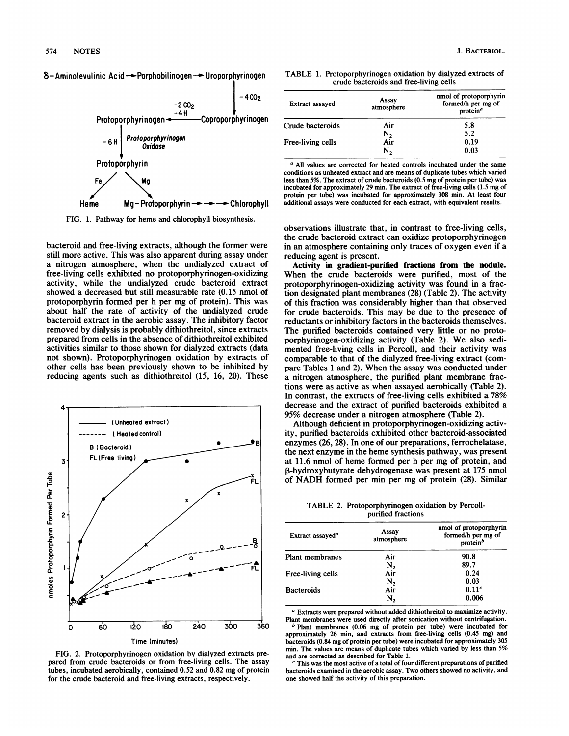

FIG. 1. Pathway for heme and chlorophyll biosynthesis.

bacteroid and free-living extracts, although the former were still more active. This was also apparent during assay under a nitrogen atmosphere, when the undialyzed extract of free-living cells exhibited no protoporphyrinogen-oxidizing activity, while the undialyzed crude bacteroid extract showed a decreased but still measurable rate (0.15 nmol of protoporphyrin formed per h per mg of protein). This was about half the rate of activity of the undialyzed crude bacteroid extract in the aerobic assay. The inhibitory factor removed by dialysis is probably dithiothreitol, since extracts prepared from cells in the absence of dithiothreitol exhibited activities similar to those shown for dialyzed extracts (data not shown). Protoporphyrinogen oxidation by extracts of other cells has been previously shown to be inhibited by reducing agents such as dithiothreitol (15, 16, 20). These



FIG. 2. Protoporphyrinogen oxidation by dialyzed extracts prepared from crude bacteroids or from free-living cells. The assay tubes, incubated aerobically, contained 0.52 and 0.82 mg of protein for the crude bacteroid and free-living extracts, respectively.

TABLE 1. Protoporphyrinogen oxidation by dialyzed extracts of crude bacteroids and free-living cells

| <b>Extract assayed</b> | Assay<br>atmosphere | nmol of protoporphyrin<br>formed/h per mg of<br>protein <sup>a</sup> |
|------------------------|---------------------|----------------------------------------------------------------------|
| Crude bacteroids       | Air                 | 5.8                                                                  |
|                        | N,                  | 5.2                                                                  |
| Free-living cells      | Air                 | 0.19                                                                 |
|                        | N,                  | 0.03                                                                 |

All values are corrected for heated controls incubated under the same conditions as unheated extract and are means of duplicate tubes which varied less than 5%. The extract of crude bacteroids (0.5 mg of protein per tube) was incubated for approximately 29 min. The extract of free-living cells (1.5 mg of protein per tube) was incubated for approximately 308 min. At least four additional assays were conducted for each extract, with equivalent results.

observations illustrate that, in contrast to free-living cells, the crude bacteroid extract can oxidize protoporphyrinogen in an atmosphere containing only traces of oxygen even if a reducing agent is present.

Activity in gradient-purified fractions from the nodule. When the crude bacteroids were purified, most of the protoporphyrinogen-oxidizing activity was found in a fraction designated plant membranes (28) (Table 2). The activity of this fraction was considerably higher than that observed for crude bacteroids. This may be due to the presence of reductants or inhibitory factors in the bacteroids themselves. The purified bacteroids contained very little or no protoporphyrinogen-oxidizing activity (Table 2). We also sedimented free-living cells in Percoll, and their activity was comparable to that of the dialyzed free-living extract (compare Tables <sup>1</sup> and 2). When the assay was conducted under a nitrogen atmosphere, the purified plant membrane fractions were as active as when assayed aerobically (Table 2). In contrast, the extracts of free-living cells exhibited a 78% decrease and the extract of purified bacteroids exhibited a 95% decrease under a nitrogen atmosphere (Table 2).

Although deficient in protoporphyrinogen-oxidizing activity, purified bacteroids exhibited other bacteroid-associated enzymes (26, 28). In one of our preparations, ferrochelatase, the next enzyme in the heme synthesis pathway, was present at 11.6 nmol of heme formed per h per mg of protein, and P-hydroxybutyrate dehydrogenase was present at 175 nmol of NADH formed per min per mg of protein (28). Similar

TABLE 2. Protoporphyrinogen oxidation by Percollpurified fractions

| Extract assayed <sup>a</sup> | Assay<br>atmosphere | nmol of protoporphyrin<br>formed/h per mg of<br>protein <sup>b</sup> |
|------------------------------|---------------------|----------------------------------------------------------------------|
| <b>Plant membranes</b>       | Air                 | 90.8                                                                 |
|                              | $\mathbf{N_{2}}$    | 89.7                                                                 |
| Free-living cells            | Air                 | 0.24                                                                 |
|                              | $\mathbf{N_{2}}$    | 0.03                                                                 |
| <b>Bacteroids</b>            | Air                 | 0.11 <sup>c</sup>                                                    |
|                              | N.                  | 0.006                                                                |

<sup>a</sup> Extracts were prepared without added dithiothreitol to maximize activity. Plant membranes were used directly after sonication without centrifugation. <sup>b</sup> Plant membranes (0.06 mg of protein per tube) were incubated for

approximately 26 min, and extracts from free-living cells (0.45 mg) and bacteroids (0.84 mg of protein per tube) were incubated for approximately 305 min. The values are means of duplicate tubes which varied by less than 5% and are corrected as described for Table 1.

This was the most active of a total of four different preparations of purified bacteroids examined in the aerobic assay. Two others showed no activity, and one showed half the activity of this preparation.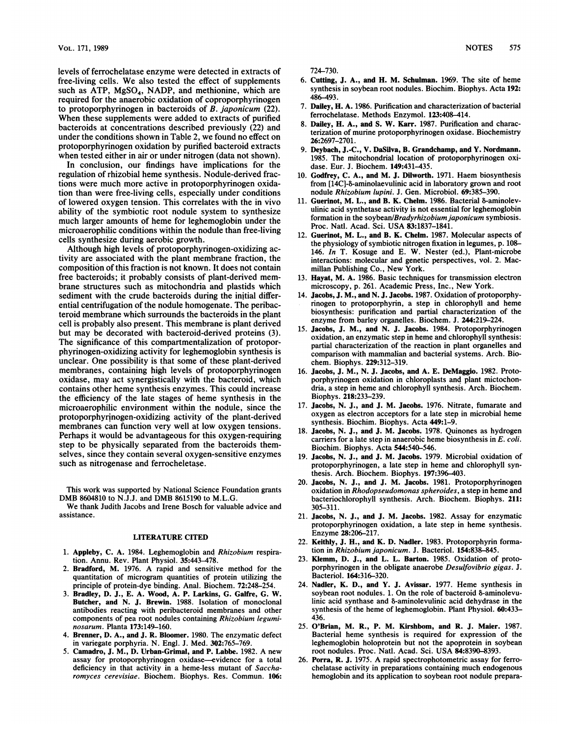levels of ferrochelatase enzyme were detected in extracts of free-living cells. We also tested the effect of supplements such as  $ATP$ ,  $MgSO<sub>4</sub>$ ,  $NADP$ , and methionine, which are required for the anaerobic oxidation of coproporphyrinogen to protoporphyrinogen in bacteroids of B. japonicum (22). When these supplements were added to extracts of purified bacteroids at concentrations described previously (22) and under the conditions shown in Table 2, we found no effect on protoporphyrinogen oxidation by purified bacteroid extracts when tested either in air or under nitrogen (data not shown).

In conclusion, our findings have implications for the regulation of rhizobial heme synthesis. Nodule-derived fractions were much more active in protoporphyrinogen oxidation than were free-living cells, especially under conditions of lowered oxygen tension. This correlates with the in vivo ability of the symbiotic root nodule system to synthesize much larger amounts of heme for leghemoglobin under the microaerophilic conditions within the nodule than free-living cells synthesize during aerobic growth.

Although high levels of protoporphyrinogen-oxidizing activity are associated with the plant membrane fraction, the composition of this fraction is not known. It does not contain free bacteroids; it probably consists of plant-derived membrane structures such as mitochondria and plastids which sediment with the crude bacteroids during the initial differential centrifugation of the nodule homogenate. The peribacteroid membrane which surrounds the bacteroids in the plant cell is probably also present. This membrane is plant derived but may be decorated with bacteroid-derived proteins (3). The significance of this compartmentalization of protoporphyrinogen-oxidizing activity for leghemoglobin synthesis is unclear. One possibility is that some of these plant-derived membranes, containing high levels of protoporphyrinogen oxidase, may act synergistically with the bacteroid, which contains other heme synthesis enzymes. This could increase the efficiency of the late stages of heme synthesis in the microaerophilic environment within the nodule, since the protoporphyrinogen-oxidizing activity of the plant-derived membranes can function very well at low oxygen tensions. Perhaps it would be advantageous for this oxygen-requiring step to be physically separated from the bacteroids themselves, since they contain several oxygen-sensitive enzymes such as nitrogenase and ferrocheletase.

This work was supported by National Science Foundation grants DMB <sup>8604810</sup> to N.J.J. and DMB <sup>8615190</sup> to M.L.G.

We thank Judith Jacobs and Irene Bosch for valuable advice and assistance.

#### LITERATURE CITED

- 1. Appleby, C. A. 1984. Leghemoglobin and Rhizobium respiration. Annu. Rev. Plant Physiol. 35:443-478.
- 2. Bradford, M. 1976. A rapid and sensitive method for the quantitation of microgram quantities of protein utilizing the principle of protein-dye binding. Anal. Biochem. 72:248-254.
- 3. Bradley, D. J., E. A. Wood, A. P. Larkins, G. Galfre, G. W. Butcher, and N. J. Brewin. 1988. Isolation of monoclonal antibodies reacting with peribacteroid membranes and other components of pea root nodules containing Rhizobium leguminosarum. Planta 173:149-160.
- 4. Brenner, D. A., and J. R. Bloomer. 1980. The enzymatic defect in variegate porphyria. N. Engl. J. Med. 302:765-769.
- 5. Camadro, J. M., D. Urban-Grimal, and P. Labbe. 1982. A new assay for protoporphyrinogen oxidase-evidence for a total deficiency in that activity in a heme-less mutant of Saccharomyces cerevisiae. Biochem. Biophys. Res. Commun. 106:

724-730.

- 6. Cutting, J. A., and H. M. Schulman. 1969. The site of heme synthesis in soybean root nodules. Biochim. Biophys. Acta 192: 486-493.
- 7. Dailey, H. A. 1986. Purification and characterization of bacterial ferrochelatase. Methods Enzymol. 123:408-414.
- 8. Dailey, H. A., and S. W. Karr. 1987. Purification and characterization of murine protoporphyrinogen oxidase. Biochemistry 26:2697-2701.
- 9. Deybach, J.-C., V. DaSilva, B. Grandchamp, and Y. Nordmann. 1985. The mitochondrial location of protoporphyrinogen oxidase. Eur. J. Biochem. 149:431-435.
- 10. Godfrey, C. A., and M. J. Dilworth. 1971. Haem biosynthesis from [14C]-8-aminolaevulinic acid in laboratory grown and root nodule Rhizobium lupini. J. Gen. Microbiol. 69:385-390.
- 11. Guerinot, M. L., and B. K. Cheim. 1986. Bacterial 8-aminolevulinic acid synthetase activity is not essential for leghemoglobin formation in the soybean/*Bradyrhizobium japonicum* symbiosis. Proc. Natl. Acad. Sci. USA 83:1837-1841.
- 12. Guerinot, M. L., and B. K. Chelm. 1987. Molecular aspects of the physiology of symbiotic nitrogen fixation in legumes, p. 108- 146. In T. Kosuge and E. W. Nester (ed.), Plant-microbe interactions: molecular and genetic perspectives, vol. 2. Macmillan Publishing Co., New York.
- 13. Hayat, M. A. 1986. Basic techniques for transmission electron microscopy, p. 261. Academic Press, Inc., New York.
- 14. Jacobs, J. M., and N. J. Jacobs. 1987. Oxidation of protoporphyrinogen to protoporphyrin, a step in chlorophyll and heme biosynthesis: purification and partial characterization of the enzyme from barley organelles. Biochem. J. 244:219-224.
- 15. Jacobs, J. M., and N. J. Jacobs. 1984. Protoporphyrinogen oxidation, an enzymatic step in heme and chlorophyll synthesis: partial characterization of the reaction in plant organelles and comparison with mammalian and bacterial systems. Arch. Biochem. Biophys. 229:312-319.
- 16. Jacobs, J. M., N. J. Jacobs, and A. E. DeMaggio. 1982. Protoporphyrinogen oxidation in chloroplasts and plant mictochondria, a step in heme and chlorophyll synthesis. Arch. Biochem. Biophys. 218:233-239.
- 17. Jacobs, N. J., and J. M. Jacobs. 1976. Nitrate, fumarate and oxygen as electron acceptors for a late step in microbial heme synthesis. Biochim. Biophys. Acta 449:1-9.
- 18. Jacobs, N. J., and J. M. Jacobs. 1978. Quinones as hydrogen carriers for a late step in anaerobic heme biosynthesis in E. coli. Biochim. Biophys. Acta 544:540-546.
- 19. Jacobs, N. J., and J. M. Jacobs. 1979. Microbial oxidation of protoporphyrinogen, a late step in heme and chlorophyll synthesis. Arch. Biochem. Biophys. 197:396-403.
- 20. Jacobs, N. J., and J. M. Jacobs. 1981. Protoporphyrinogen oxidation in Rhodopseudomonas spheroides, a step in heme and bacteriochlorophyll synthesis. Arch. Biochem. Biophys. 211: 305-311.
- 21. Jacobs, N. J., and J. M, Jacobs. 1982. Assay for enzymatic protoporphyrinogen oxidation, a late step in heme synthesis. Enzyme 28:206-217.
- 22. Keithly, J. H., and K. D. Nadler. 1983. Protoporphyrin formation in Rhizobium japonicum. J. Bacteriol. 154:838-845.
- 23. Klemm, D. J., and L. L. Barton. 1985. Oxidation of protoporphyrinogen in the obligate anaerobe Desulfovibrio gigas. J. Bacteriol. 164:316-320.
- 24. Nadler, K. D., and Y. J. Avissar. 1977. Heme synthesis in soybean root nodules. 1. On the role of bacteroid 8-aminolevulinic acid synthase and b-aminolevulinic acid dehydrase in the synthesis of the heme of leghemoglobin. Plant Physiol. 60:433- 436.
- 25. O'Brian, M. R., P. M. Kirshbom, and R. J. Maier. 1987. Bacterial heme synthesis is required for expression of the leghemoglobin holoprotein but not the apoprotein in soybean root nodules. Proc. Natl. Acad. Sci. USA 84:8390-8393.
- 26. Porra, R. J. 1975. A rapid spectrophotometric assay for ferrochelatase activity in preparations containing much endogenous hemoglobin and its application to soybean root nodule prepara-